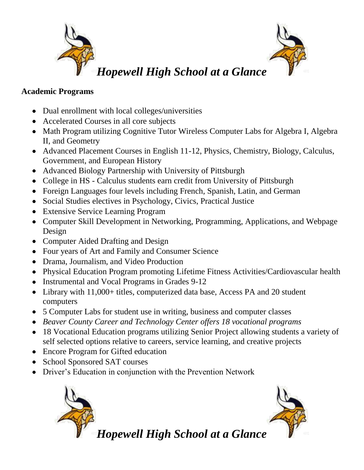

#### **Academic Programs**

- Dual enrollment with local colleges/universities
- Accelerated Courses in all core subjects
- Math Program utilizing Cognitive Tutor Wireless Computer Labs for Algebra I, Algebra II, and Geometry
- Advanced Placement Courses in English 11-12, Physics, Chemistry, Biology, Calculus, Government, and European History
- Advanced Biology Partnership with University of Pittsburgh
- College in HS Calculus students earn credit from University of Pittsburgh
- Foreign Languages four levels including French, Spanish, Latin, and German
- Social Studies electives in Psychology, Civics, Practical Justice
- Extensive Service Learning Program
- Computer Skill Development in Networking, Programming, Applications, and Webpage Design
- Computer Aided Drafting and Design
- Four years of Art and Family and Consumer Science
- Drama, Journalism, and Video Production
- Physical Education Program promoting Lifetime Fitness Activities/Cardiovascular health
- Instrumental and Vocal Programs in Grades 9-12
- Library with 11,000+ titles, computerized data base, Access PA and 20 student computers
- 5 Computer Labs for student use in writing, business and computer classes
- *Beaver County Career and Technology Center offers 18 vocational programs*
- 18 Vocational Education programs utilizing Senior Project allowing students a variety of self selected options relative to careers, service learning, and creative projects
- Encore Program for Gifted education
- School Sponsored SAT courses
- Driver's Education in conjunction with the Prevention Network



*Hopewell High School at a Glance*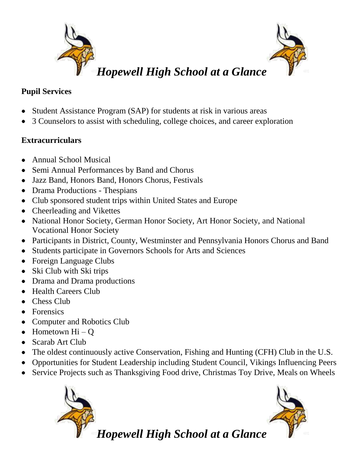

## **Pupil Services**

- Student Assistance Program (SAP) for students at risk in various areas
- 3 Counselors to assist with scheduling, college choices, and career exploration

# **Extracurriculars**

- Annual School Musical  $\bullet$
- Semi Annual Performances by Band and Chorus
- Jazz Band, Honors Band, Honors Chorus, Festivals
- Drama Productions Thespians
- Club sponsored student trips within United States and Europe
- Cheerleading and Vikettes
- National Honor Society, German Honor Society, Art Honor Society, and National Vocational Honor Society
- Participants in District, County, Westminster and Pennsylvania Honors Chorus and Band
- Students participate in Governors Schools for Arts and Sciences
- Foreign Language Clubs
- Ski Club with Ski trips
- Drama and Drama productions
- Health Careers Club
- Chess Club
- Forensics
- Computer and Robotics Club
- $\bullet$  Hometown Hi O
- Scarab Art Club
- The oldest continuously active Conservation, Fishing and Hunting (CFH) Club in the U.S.
- Opportunities for Student Leadership including Student Council, Vikings Influencing Peers
- Service Projects such as Thanksgiving Food drive, Christmas Toy Drive, Meals on Wheels